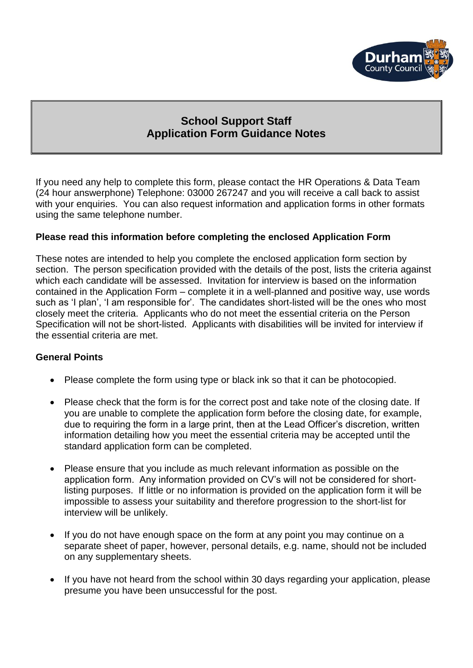

# **School Support Staff Application Form Guidance Notes**

If you need any help to complete this form, please contact the HR Operations & Data Team (24 hour answerphone) Telephone: 03000 267247 and you will receive a call back to assist with your enquiries. You can also request information and application forms in other formats using the same telephone number.

#### **Please read this information before completing the enclosed Application Form**

These notes are intended to help you complete the enclosed application form section by section. The person specification provided with the details of the post, lists the criteria against which each candidate will be assessed. Invitation for interview is based on the information contained in the Application Form – complete it in a well-planned and positive way, use words such as 'I plan', 'I am responsible for'. The candidates short-listed will be the ones who most closely meet the criteria. Applicants who do not meet the essential criteria on the Person Specification will not be short-listed. Applicants with disabilities will be invited for interview if the essential criteria are met.

#### **General Points**

- Please complete the form using type or black ink so that it can be photocopied.
- Please check that the form is for the correct post and take note of the closing date. If you are unable to complete the application form before the closing date, for example, due to requiring the form in a large print, then at the Lead Officer's discretion, written information detailing how you meet the essential criteria may be accepted until the standard application form can be completed.
- Please ensure that you include as much relevant information as possible on the application form. Any information provided on CV's will not be considered for shortlisting purposes. If little or no information is provided on the application form it will be impossible to assess your suitability and therefore progression to the short-list for interview will be unlikely.
- If you do not have enough space on the form at any point you may continue on a separate sheet of paper, however, personal details, e.g. name, should not be included on any supplementary sheets.
- If you have not heard from the school within 30 days regarding your application, please presume you have been unsuccessful for the post.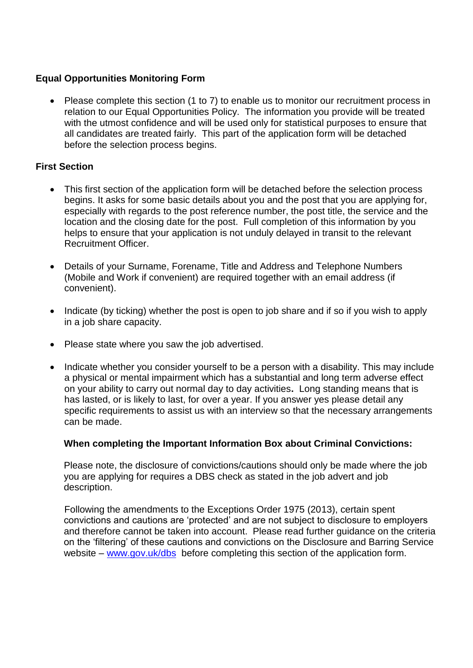# **Equal Opportunities Monitoring Form**

 Please complete this section (1 to 7) to enable us to monitor our recruitment process in relation to our Equal Opportunities Policy. The information you provide will be treated with the utmost confidence and will be used only for statistical purposes to ensure that all candidates are treated fairly. This part of the application form will be detached before the selection process begins.

# **First Section**

- This first section of the application form will be detached before the selection process begins. It asks for some basic details about you and the post that you are applying for, especially with regards to the post reference number, the post title, the service and the location and the closing date for the post. Full completion of this information by you helps to ensure that your application is not unduly delayed in transit to the relevant Recruitment Officer.
- Details of your Surname, Forename, Title and Address and Telephone Numbers (Mobile and Work if convenient) are required together with an email address (if convenient).
- Indicate (by ticking) whether the post is open to job share and if so if you wish to apply in a job share capacity.
- Please state where you saw the job advertised.
- Indicate whether you consider yourself to be a person with a disability. This may include a physical or mental impairment which has a substantial and long term adverse effect on your ability to carry out normal day to day activities**.** Long standing means that is has lasted, or is likely to last, for over a year. If you answer yes please detail any specific requirements to assist us with an interview so that the necessary arrangements can be made.

# **When completing the Important Information Box about Criminal Convictions:**

Please note, the disclosure of convictions/cautions should only be made where the job you are applying for requires a DBS check as stated in the job advert and job description.

Following the amendments to the Exceptions Order 1975 (2013), certain spent convictions and cautions are 'protected' and are not subject to disclosure to employers and therefore cannot be taken into account. Please read further guidance on the criteria on the 'filtering' of these cautions and convictions on the Disclosure and Barring Service website – [www.gov.uk/dbs](http://www.gov.uk/dbs) before completing this section of the application form.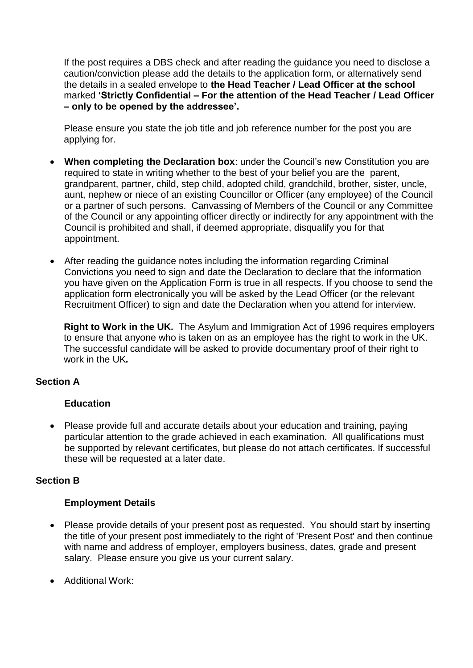If the post requires a DBS check and after reading the guidance you need to disclose a caution/conviction please add the details to the application form, or alternatively send the details in a sealed envelope to **the Head Teacher / Lead Officer at the school**  marked **'Strictly Confidential – For the attention of the Head Teacher / Lead Officer – only to be opened by the addressee'.**

Please ensure you state the job title and job reference number for the post you are applying for.

- **When completing the Declaration box**: under the Council's new Constitution you are required to state in writing whether to the best of your belief you are the parent, grandparent, partner, child, step child, adopted child, grandchild, brother, sister, uncle, aunt, nephew or niece of an existing Councillor or Officer (any employee) of the Council or a partner of such persons. Canvassing of Members of the Council or any Committee of the Council or any appointing officer directly or indirectly for any appointment with the Council is prohibited and shall, if deemed appropriate, disqualify you for that appointment.
- After reading the guidance notes including the information regarding Criminal Convictions you need to sign and date the Declaration to declare that the information you have given on the Application Form is true in all respects. If you choose to send the application form electronically you will be asked by the Lead Officer (or the relevant Recruitment Officer) to sign and date the Declaration when you attend for interview.

**Right to Work in the UK.** The Asylum and Immigration Act of 1996 requires employers to ensure that anyone who is taken on as an employee has the right to work in the UK. The successful candidate will be asked to provide documentary proof of their right to work in the UK*.* 

# **Section A**

# **Education**

• Please provide full and accurate details about your education and training, paying particular attention to the grade achieved in each examination. All qualifications must be supported by relevant certificates, but please do not attach certificates. If successful these will be requested at a later date.

# **Section B**

# **Employment Details**

- Please provide details of your present post as requested. You should start by inserting the title of your present post immediately to the right of 'Present Post' and then continue with name and address of employer, employers business, dates, grade and present salary. Please ensure you give us your current salary.
- Additional Work: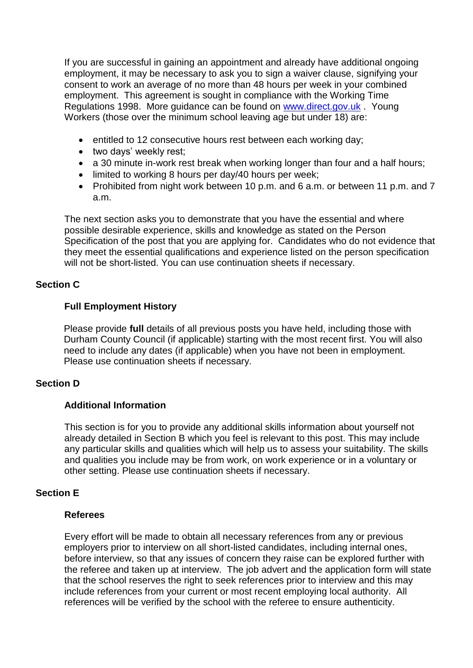If you are successful in gaining an appointment and already have additional ongoing employment, it may be necessary to ask you to sign a waiver clause, signifying your consent to work an average of no more than 48 hours per week in your combined employment. This agreement is sought in compliance with the Working Time Regulations 1998. More guidance can be found on [www.direct.gov.uk](http://www.direct.gov.uk/) . Young Workers (those over the minimum school leaving age but under 18) are:

- entitled to 12 consecutive hours rest between each working day;
- two days' weekly rest;
- a 30 minute in-work rest break when working longer than four and a half hours;
- limited to working 8 hours per day/40 hours per week;
- Prohibited from night work between 10 p.m. and 6 a.m. or between 11 p.m. and 7 a.m.

The next section asks you to demonstrate that you have the essential and where possible desirable experience, skills and knowledge as stated on the Person Specification of the post that you are applying for. Candidates who do not evidence that they meet the essential qualifications and experience listed on the person specification will not be short-listed. You can use continuation sheets if necessary.

# **Section C**

#### **Full Employment History**

Please provide **full** details of all previous posts you have held, including those with Durham County Council (if applicable) starting with the most recent first. You will also need to include any dates (if applicable) when you have not been in employment. Please use continuation sheets if necessary.

# **Section D**

#### **Additional Information**

This section is for you to provide any additional skills information about yourself not already detailed in Section B which you feel is relevant to this post. This may include any particular skills and qualities which will help us to assess your suitability. The skills and qualities you include may be from work, on work experience or in a voluntary or other setting. Please use continuation sheets if necessary.

# **Section E**

#### **Referees**

Every effort will be made to obtain all necessary references from any or previous employers prior to interview on all short-listed candidates, including internal ones, before interview, so that any issues of concern they raise can be explored further with the referee and taken up at interview. The job advert and the application form will state that the school reserves the right to seek references prior to interview and this may include references from your current or most recent employing local authority. All references will be verified by the school with the referee to ensure authenticity.